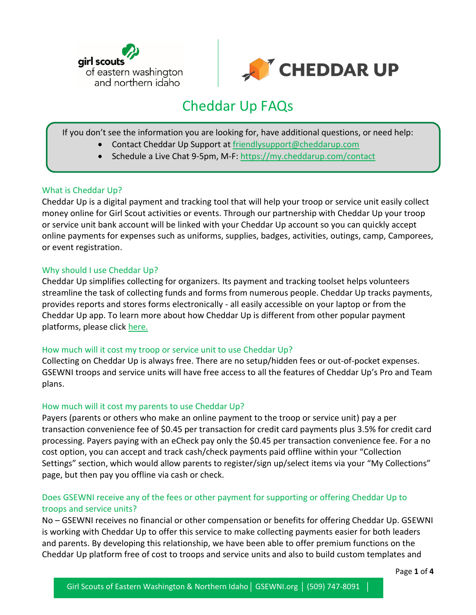



# Cheddar Up FAQs

If you don't see the information you are looking for, have additional questions, or need help:

- Contact Cheddar Up Support at [friendlysupport@cheddarup.com](mailto:friendlysupport@cheddarup.com)
- Schedule a Live Chat 9-5pm, M-F:<https://my.cheddarup.com/contact>

# What is Cheddar Up?

Cheddar Up is a digital payment and tracking tool that will help your troop or service unit easily collect money online for Girl Scout activities or events. Through our partnership with Cheddar Up your troop or service unit bank account will be linked with your Cheddar Up account so you can quickly accept online payments for expenses such as uniforms, supplies, badges, activities, outings, camp, Camporees, or event registration.

#### Why should I use Cheddar Up?

Cheddar Up simplifies collecting for organizers. Its payment and tracking toolset helps volunteers streamline the task of collecting funds and forms from numerous people. Cheddar Up tracks payments, provides reports and stores forms electronically - all easily accessible on your laptop or from the Cheddar Up app. To learn more about how Cheddar Up is different from other popular payment platforms, please click [here.](https://girlscoutsupport.cheddarup.com/article/476-why-use-cheddar-up-versus-paypal-or-venmo)

# How much will it cost my troop or service unit to use Cheddar Up?

Collecting on Cheddar Up is always free. There are no setup/hidden fees or out-of-pocket expenses. GSEWNI troops and service units will have free access to all the features of Cheddar Up's Pro and Team plans.

# How much will it cost my parents to use Cheddar Up?

Payers (parents or others who make an online payment to the troop or service unit) pay a per transaction convenience fee of \$0.45 per transaction for credit card payments plus 3.5% for credit card processing. Payers paying with an eCheck pay only the \$0.45 per transaction convenience fee. For a no cost option, you can accept and track cash/check payments paid offline within your "Collection Settings" section, which would allow parents to register/sign up/select items via your "My Collections" page, but then pay you offline via cash or check.

# Does GSEWNI receive any of the fees or other payment for supporting or offering Cheddar Up to troops and service units?

No – GSEWNI receives no financial or other compensation or benefits for offering Cheddar Up. GSEWNI is working with Cheddar Up to offer this service to make collecting payments easier for both leaders and parents. By developing this relationship, we have been able to offer premium functions on the Cheddar Up platform free of cost to troops and service units and also to build custom templates and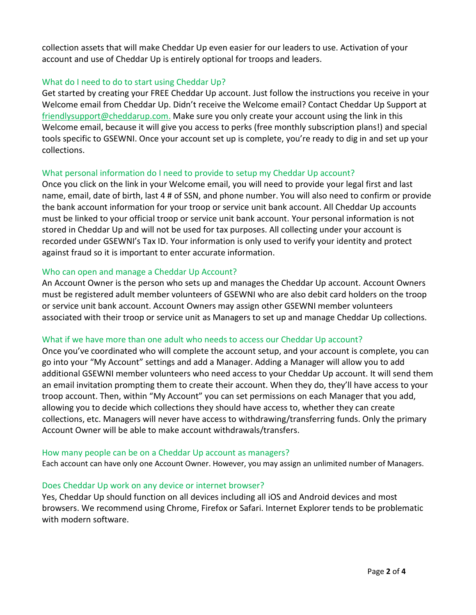collection assets that will make Cheddar Up even easier for our leaders to use. Activation of your account and use of Cheddar Up is entirely optional for troops and leaders.

# What do I need to do to start using Cheddar Up?

Get started by creating your FREE Cheddar Up account. Just follow the instructions you receive in your Welcome email from Cheddar Up. Didn't receive the Welcome email? Contact Cheddar Up Support at [friendlysupport@cheddarup.com.](mailto:friendlysupport@cheddarup.com) Make sure you only create your account using the link in this Welcome email, because it will give you access to perks (free monthly subscription plans!) and special tools specific to GSEWNI. Once your account set up is complete, you're ready to dig in and set up your collections.

# What personal information do I need to provide to setup my Cheddar Up account?

Once you click on the link in your Welcome email, you will need to provide your legal first and last name, email, date of birth, last 4 # of SSN, and phone number. You will also need to confirm or provide the bank account information for your troop or service unit bank account. All Cheddar Up accounts must be linked to your official troop or service unit bank account. Your personal information is not stored in Cheddar Up and will not be used for tax purposes. All collecting under your account is recorded under GSEWNI's Tax ID. Your information is only used to verify your identity and protect against fraud so it is important to enter accurate information.

# Who can open and manage a Cheddar Up Account?

An Account Owner is the person who sets up and manages the Cheddar Up account. Account Owners must be registered adult member volunteers of GSEWNI who are also debit card holders on the troop or service unit bank account. Account Owners may assign other GSEWNI member volunteers associated with their troop or service unit as Managers to set up and manage Cheddar Up collections.

# What if we have more than one adult who needs to access our Cheddar Up account?

Once you've coordinated who will complete the account setup, and your account is complete, you can go into your "My Account" settings and add a Manager. Adding a Manager will allow you to add additional GSEWNI member volunteers who need access to your Cheddar Up account. It will send them an email invitation prompting them to create their account. When they do, they'll have access to your troop account. Then, within "My Account" you can set permissions on each Manager that you add, allowing you to decide which collections they should have access to, whether they can create collections, etc. Managers will never have access to withdrawing/transferring funds. Only the primary Account Owner will be able to make account withdrawals/transfers.

# How many people can be on a Cheddar Up account as managers?

Each account can have only one Account Owner. However, you may assign an unlimited number of Managers.

# Does Cheddar Up work on any device or internet browser?

Yes, Cheddar Up should function on all devices including all iOS and Android devices and most browsers. We recommend using Chrome, Firefox or Safari. Internet Explorer tends to be problematic with modern software.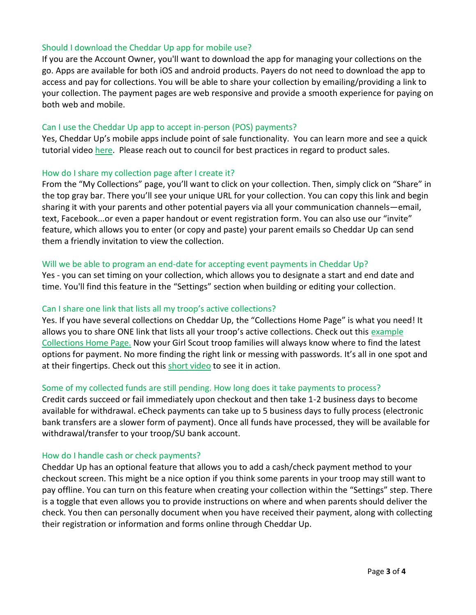# Should I download the Cheddar Up app for mobile use?

If you are the Account Owner, you'll want to download the app for managing your collections on the go. Apps are available for both iOS and android products. Payers do not need to download the app to access and pay for collections. You will be able to share your collection by emailing/providing a link to your collection. The payment pages are web responsive and provide a smooth experience for paying on both web and mobile.

# Can I use the Cheddar Up app to accept in-person (POS) payments?

Yes, Cheddar Up's mobile apps include point of sale functionality. You can learn more and see a quick tutorial video [here.](https://girlscoutsupport.cheddarup.com/article/486-can-i-use-cheddar-up-to-accept-in-person-payments) Please reach out to council for best practices in regard to product sales.

# How do I share my collection page after I create it?

From the "My Collections" page, you'll want to click on your collection. Then, simply click on "Share" in the top gray bar. There you'll see your unique URL for your collection. You can copy this link and begin sharing it with your parents and other potential payers via all your communication channels—email, text, Facebook...or even a paper handout or event registration form. You can also use our "invite" feature, which allows you to enter (or copy and paste) your parent emails so Cheddar Up can send them a friendly invitation to view the collection.

# Will we be able to program an end-date for accepting event payments in Cheddar Up?

Yes - you can set timing on your collection, which allows you to designate a start and end date and time. You'll find this feature in the "Settings" section when building or editing your collection.

# Can I share one link that lists all my troop's active collections?

Yes. If you have several collections on Cheddar Up, the "Collections Home Page" is what you need! It allows you to share ONE link that lists all your troop's active collections. Check out this [example](https://my.cheddarup.com/me/helenkeller)  [Collections Home Page.](https://my.cheddarup.com/me/helenkeller) Now your Girl Scout troop families will always know where to find the latest options for payment. No more finding the right link or messing with passwords. It's all in one spot and at their fingertips. Check out this [short video](https://vimeo.com/233385813) to see it in action.

# Some of my collected funds are still pending. How long does it take payments to process?

Credit cards succeed or fail immediately upon checkout and then take 1-2 business days to become available for withdrawal. eCheck payments can take up to 5 business days to fully process (electronic bank transfers are a slower form of payment). Once all funds have processed, they will be available for withdrawal/transfer to your troop/SU bank account.

# How do I handle cash or check payments?

Cheddar Up has an optional feature that allows you to add a cash/check payment method to your checkout screen. This might be a nice option if you think some parents in your troop may still want to pay offline. You can turn on this feature when creating your collection within the "Settings" step. There is a toggle that even allows you to provide instructions on where and when parents should deliver the check. You then can personally document when you have received their payment, along with collecting their registration or information and forms online through Cheddar Up.